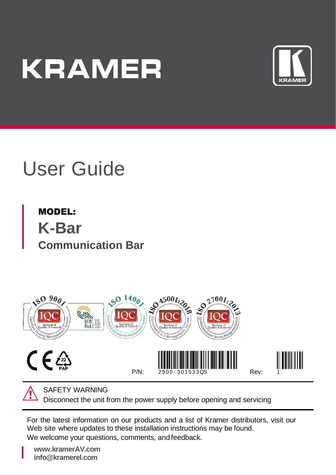# **KRAMER**



## User Guide

MODEL: **K-Bar Communication Bar**





SAFETY WARNING

Disconnect the unit from the power supply before opening and servicing

For the latest information on our products and a list of Kramer distributors, visit our Web site where updates to these installation instructions may be found. We welcome your questions, comments, and feedback.

**[www.kramerAV.com](http://www.kramerav.com/) info@kramerel.com**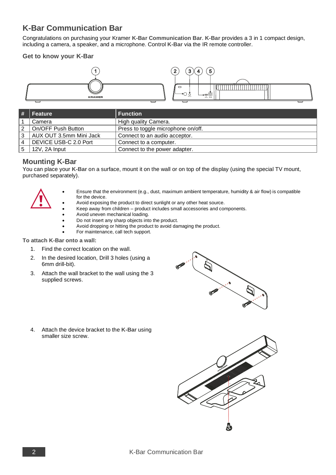### **K-Bar Communication Bar**

Congratulations on purchasing your Kramer **K-Bar Communication Bar**. **K-Bar** provides a 3 in 1 compact design, including a camera, a speaker, and a microphone. Control **K-Bar** via the IR remote controller.

#### **Get to know your K-Bar**



| $\parallel$ #  | Feature                 | <b>Function</b>                    |
|----------------|-------------------------|------------------------------------|
|                | Camera                  | High quality Camera.               |
| 2              | On/OFF Push Button      | Press to toggle microphone on/off. |
| 3              | AUX OUT 3.5mm Mini Jack | Connect to an audio acceptor.      |
| $\overline{4}$ | DEVICE USB-C 2.0 Port   | Connect to a computer.             |
| 5              | 12V. 2A Input           | Connect to the power adapter.      |

#### **Mounting K-Bar**

You can place your **K-Bar** on a surface, mount it on the wall or on top of the display (using the special TV mount, purchased separately).



- Ensure that the environment (e.g., dust, maximum ambient temperature, humidity & air flow) is compatible for the device.
- Avoid exposing the product to direct sunlight or any other heat source.
- Keep away from children product includes small accessories and components.
- Avoid uneven mechanical loading.
- Do not insert any sharp objects into the product.
- Avoid dropping or hitting the product to avoid damaging the product.
- For maintenance, call tech support.

#### **To attach K-Bar onto a wall:**

- 1. Find the correct location on the wall.
- 2. In the desired location, Drill 3 holes (using a 6mm drill-bit).
- 3. Attach the wall bracket to the wall using the 3 supplied screws.



4. Attach the device bracket to the **K-Bar** using smaller size screw.

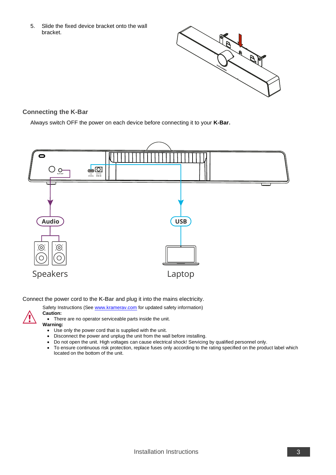5. Slide the fixed device bracket onto the wall bracket.



#### **Connecting the K-Bar**

Always switch OFF the power on each device before connecting it to your **K-Bar**.



Connect the power cord to the **K-Bar** and plug it into the mains electricity.



Safety Instructions (Se[e www.kramerav.com](http://www.kramerav.com/) for updated safety information) **Caution:**

• There are no operator serviceable parts inside the unit.



- Use only the power cord that is supplied with the unit.
- Disconnect the power and unplug the unit from the wall before installing.
- Do not open the unit. High voltages can cause electrical shock! Servicing by qualified personnel only.
- To ensure continuous risk protection, replace fuses only according to the rating specified on the product label which located on the bottom of the unit.